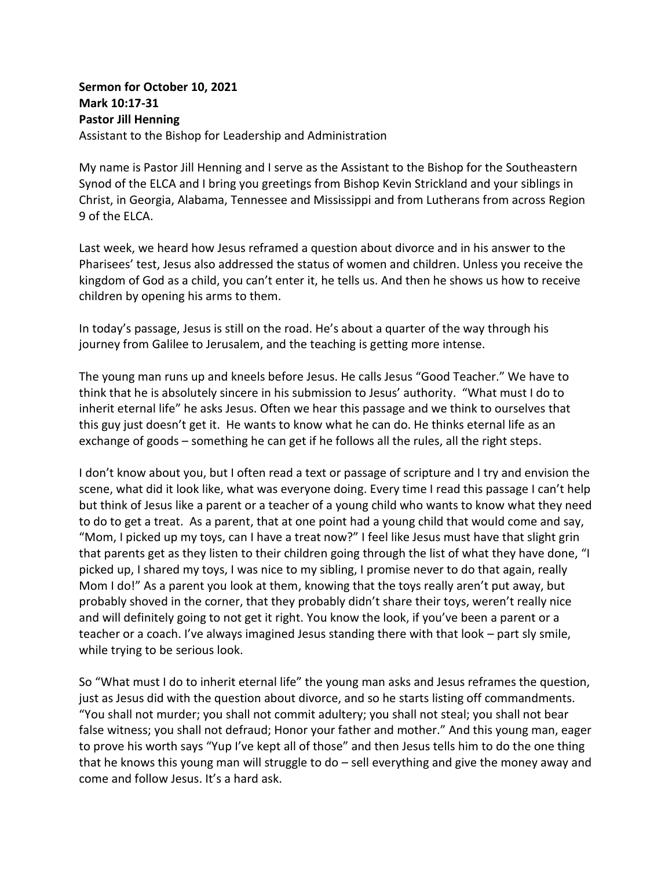## **Sermon for October 10, 2021 Mark 10:17-31 Pastor Jill Henning** Assistant to the Bishop for Leadership and Administration

My name is Pastor Jill Henning and I serve as the Assistant to the Bishop for the Southeastern Synod of the ELCA and I bring you greetings from Bishop Kevin Strickland and your siblings in Christ, in Georgia, Alabama, Tennessee and Mississippi and from Lutherans from across Region 9 of the ELCA.

Last week, we heard how Jesus reframed a question about divorce and in his answer to the Pharisees' test, Jesus also addressed the status of women and children. Unless you receive the kingdom of God as a child, you can't enter it, he tells us. And then he shows us how to receive children by opening his arms to them.

In today's passage, Jesus is still on the road. He's about a quarter of the way through his journey from Galilee to Jerusalem, and the teaching is getting more intense.

The young man runs up and kneels before Jesus. He calls Jesus "Good Teacher." We have to think that he is absolutely sincere in his submission to Jesus' authority. "What must I do to inherit eternal life" he asks Jesus. Often we hear this passage and we think to ourselves that this guy just doesn't get it. He wants to know what he can do. He thinks eternal life as an exchange of goods – something he can get if he follows all the rules, all the right steps.

I don't know about you, but I often read a text or passage of scripture and I try and envision the scene, what did it look like, what was everyone doing. Every time I read this passage I can't help but think of Jesus like a parent or a teacher of a young child who wants to know what they need to do to get a treat. As a parent, that at one point had a young child that would come and say, "Mom, I picked up my toys, can I have a treat now?" I feel like Jesus must have that slight grin that parents get as they listen to their children going through the list of what they have done, "I picked up, I shared my toys, I was nice to my sibling, I promise never to do that again, really Mom I do!" As a parent you look at them, knowing that the toys really aren't put away, but probably shoved in the corner, that they probably didn't share their toys, weren't really nice and will definitely going to not get it right. You know the look, if you've been a parent or a teacher or a coach. I've always imagined Jesus standing there with that look – part sly smile, while trying to be serious look.

So "What must I do to inherit eternal life" the young man asks and Jesus reframes the question, just as Jesus did with the question about divorce, and so he starts listing off commandments. "You shall not murder; you shall not commit adultery; you shall not steal; you shall not bear false witness; you shall not defraud; Honor your father and mother." And this young man, eager to prove his worth says "Yup I've kept all of those" and then Jesus tells him to do the one thing that he knows this young man will struggle to do – sell everything and give the money away and come and follow Jesus. It's a hard ask.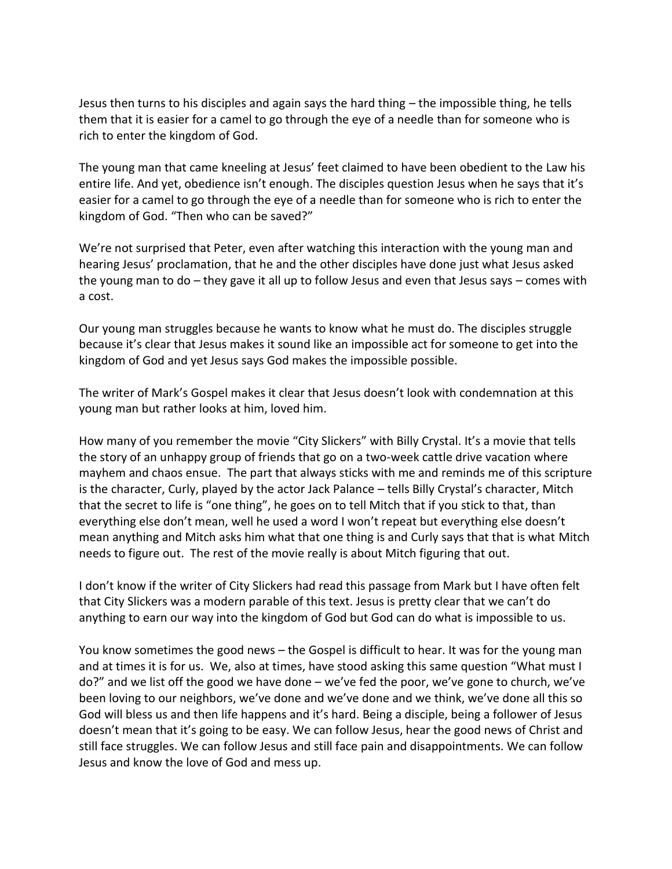Jesus then turns to his disciples and again says the hard thing – the impossible thing, he tells them that it is easier for a camel to go through the eye of a needle than for someone who is rich to enter the kingdom of God.

The young man that came kneeling at Jesus' feet claimed to have been obedient to the Law his entire life. And yet, obedience isn't enough. The disciples question Jesus when he says that it's easier for a camel to go through the eye of a needle than for someone who is rich to enter the kingdom of God. "Then who can be saved?"

We're not surprised that Peter, even after watching this interaction with the young man and hearing Jesus' proclamation, that he and the other disciples have done just what Jesus asked the young man to do – they gave it all up to follow Jesus and even that Jesus says – comes with a cost.

Our young man struggles because he wants to know what he must do. The disciples struggle because it's clear that Jesus makes it sound like an impossible act for someone to get into the kingdom of God and yet Jesus says God makes the impossible possible.

The writer of Mark's Gospel makes it clear that Jesus doesn't look with condemnation at this young man but rather looks at him, loved him.

How many of you remember the movie "City Slickers" with Billy Crystal. It's a movie that tells the story of an unhappy group of friends that go on a two-week cattle drive vacation where mayhem and chaos ensue. The part that always sticks with me and reminds me of this scripture is the character, Curly, played by the actor Jack Palance – tells Billy Crystal's character, Mitch that the secret to life is "one thing", he goes on to tell Mitch that if you stick to that, than everything else don't mean, well he used a word I won't repeat but everything else doesn't mean anything and Mitch asks him what that one thing is and Curly says that that is what Mitch needs to figure out. The rest of the movie really is about Mitch figuring that out.

I don't know if the writer of City Slickers had read this passage from Mark but I have often felt that City Slickers was a modern parable of this text. Jesus is pretty clear that we can't do anything to earn our way into the kingdom of God but God can do what is impossible to us.

You know sometimes the good news – the Gospel is difficult to hear. It was for the young man and at times it is for us. We, also at times, have stood asking this same question "What must I do?" and we list off the good we have done – we've fed the poor, we've gone to church, we've been loving to our neighbors, we've done and we've done and we think, we've done all this so God will bless us and then life happens and it's hard. Being a disciple, being a follower of Jesus doesn't mean that it's going to be easy. We can follow Jesus, hear the good news of Christ and still face struggles. We can follow Jesus and still face pain and disappointments. We can follow Jesus and know the love of God and mess up.